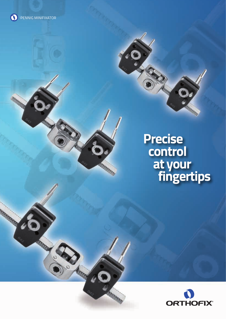

**MARTIN** 

**MARS** 

William

# **Precise control at your fingertips**

**Marina** 

William